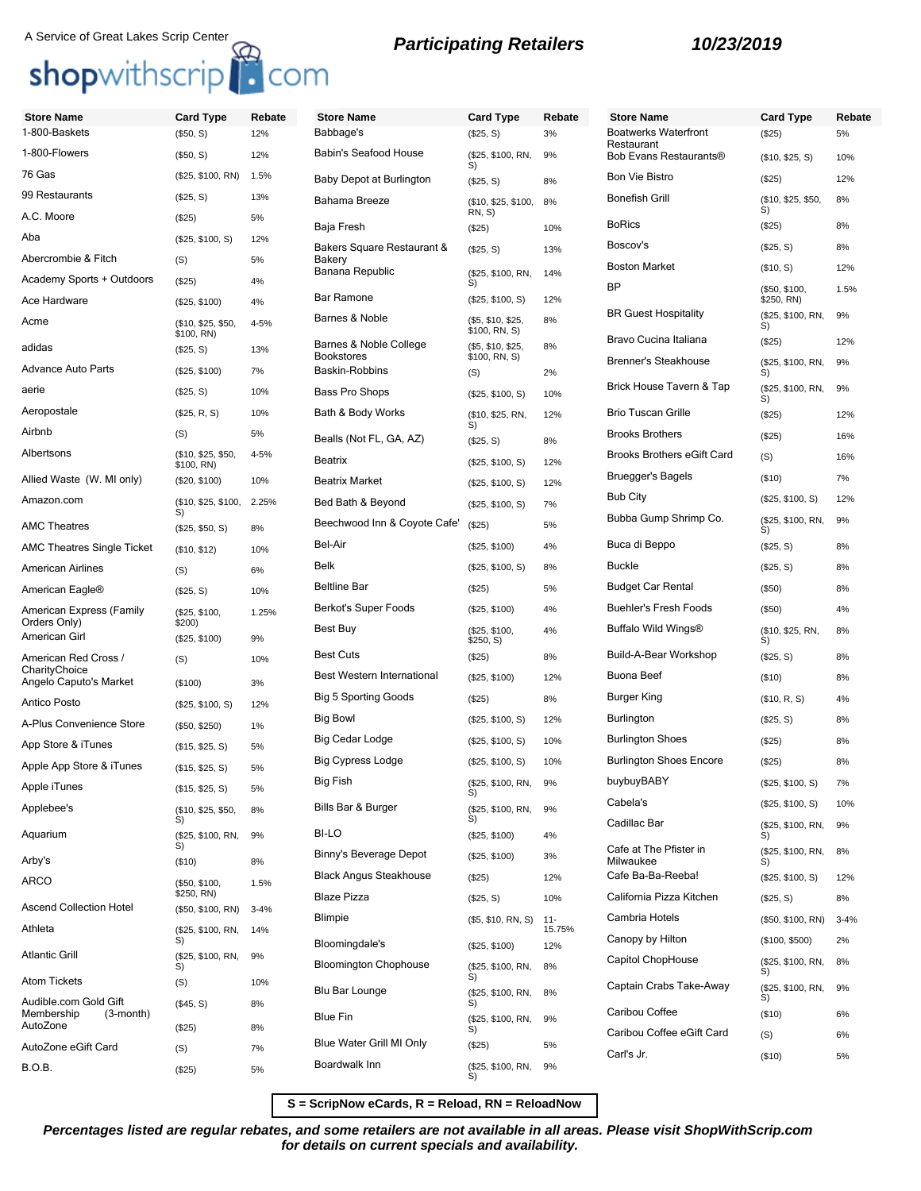### A Service of Great Lakes Scrip Center<br> **Participating Retailers 10/23/2019**

## shopwithscrip<sup>1</sup>. com

### **Store Name Card Type Rebate** 1-800-Baskets (\$50, S) 12% 1-800-Flowers (\$50, S) 12% 76 Gas (\$25, \$100, RN) 1.5% 99 Restaurants (\$25, S) 13% A.C. Moore (\$25) 5% Aba (\$25, \$100, S) 12% Abercrombie & Fitch (S) 5% Academy Sports + Outdoors (\$25) 4% Ace Hardware (\$25, \$100) 4% Acme (\$10, \$25, \$50, \$100, RN) 4-5% adidas (\$25, S) 13% Advance Auto Parts (\$25, \$100) 7% aerie (\$25, S) 10% Aeropostale (\$25, R, S) 10% Airbnb (S) 5% Albertsons (\$10, \$25, \$50, \$100, RN) 4-5% Allied Waste (W. MI only) (\$20, \$100) 10% Amazon.com (\$10, \$25, \$100, S) 2.25% AMC Theatres (\$25, \$50, S) 8% AMC Theatres Single Ticket (\$10, \$12) 10% American Airlines (S) 6% American Eagle® (\$25, S) 10% American Express (Family Orders Only) (\$25, \$100, \$200) 1.25% American Girl (\$25, \$100) 9% American Red Cross / **CharityChoice** (S) 10% Angelo Caputo's Market (\$100) 3% Antico Posto (\$25, \$100, S) 12% A-Plus Convenience Store (\$50, \$250) 1% App Store & iTunes (\$15, \$25, S) 5% Apple App Store & iTunes (\$15, \$25, S) 5% Bakery

Apple iTunes (\$15, \$25, S) 5% Applebee's (\$10, \$25, \$50,

Aquarium (\$25, \$100, RN, S)

Arby's (\$10) 8% ARCO (\$50, \$100,

Ascend Collection Hotel (\$50, \$100, RN) 3-4% Athleta (\$25, \$100, RN,

Atom Tickets (S) 10%

AutoZone (\$25) 8% AutoZone eGift Card (S) 7% B.O.B. (\$25) 5%

Atlantic Grill (\$25, \$100, RN,

Audible.com Gold Gift<br>Membership (3-month)

Membership

S)

 $\widetilde{S}$ 

S)

 $$250, RN$ 

8%

9%

1.5%

14%

9%

(\$45, S) 8%

| te | <b>Store Name</b><br>Babbage's              | <b>Card Type</b>                   | Rebate           |
|----|---------------------------------------------|------------------------------------|------------------|
|    | <b>Babin's Seafood House</b>                | (\$25, S)                          | 3%<br>9%         |
|    |                                             | (\$25, \$100, RN,<br>S)            |                  |
|    | Baby Depot at Burlington                    | (\$25, S)                          | 8%               |
|    | Bahama Breeze                               | (\$10, \$25, \$100,<br>RN, S)      | 8%               |
|    | Baja Fresh                                  | (\$25)                             | 10%              |
|    | Bakers Square Restaurant &<br>Bakery        | (\$25, S)                          | 13%              |
|    | Banana Republic                             | (\$25, \$100, RN,<br>S)            | 14%              |
|    | Bar Ramone                                  | (\$25, \$100, S)                   | 12%              |
|    | Barnes & Noble                              | (\$5, \$10, \$25,<br>\$100, RN, S) | 8%               |
|    | Barnes & Noble College<br><b>Bookstores</b> | (\$5, \$10, \$25,<br>\$100, RN, S) | 8%               |
|    | Baskin-Robbins                              | (S)                                | 2%               |
|    | <b>Bass Pro Shops</b>                       | (\$25, \$100, S)                   | 10%              |
|    | Bath & Body Works                           | (\$10, \$25, RN,<br>S)             | 12%              |
|    | Bealls (Not FL, GA, AZ)                     | $(\$25, S)$                        | 8%               |
|    | <b>Beatrix</b>                              | (\$25, \$100, S)                   | 12%              |
|    | <b>Beatrix Market</b>                       | (\$25, \$100, S)                   | 12%              |
|    | Bed Bath & Beyond                           | (\$25, \$100, S)                   | 7%               |
|    | Beechwood Inn & Coyote Cafe'                | (S25)                              | 5%               |
|    | Bel-Air                                     | (\$25, \$100)                      | 4%               |
|    | <b>Belk</b>                                 | (\$25, \$100, S)                   | 8%               |
|    | <b>Beltline Bar</b>                         | (\$25)                             | 5%               |
|    | Berkot's Super Foods                        | (\$25, \$100)                      | 4%               |
|    | Best Buy                                    | (\$25, \$100,<br>\$250, S)         | 4%               |
|    | <b>Best Cuts</b>                            | (S25)                              | 8%               |
|    | <b>Best Western International</b>           | (\$25, \$100)                      | 12%              |
|    | <b>Big 5 Sporting Goods</b>                 | (\$25)                             | 8%               |
|    | Big Bowl                                    | (\$25, \$100, S)                   | 12%              |
|    | Big Cedar Lodge                             | (\$25, \$100, S)                   | 10%              |
|    | Big Cypress Lodge                           | (\$25, \$100, S)                   | 10%              |
|    | Big Fish                                    | (\$25, \$100, RN,<br>S)            | 9%               |
|    | Bills Bar & Burger                          | (\$25, \$100, RN,<br>S)            | 9%               |
|    | BI-LO                                       | (\$25, \$100)                      | 4%               |
|    | Binny's Beverage Depot                      | (\$25, \$100)                      | 3%               |
|    | Black Angus Steakhouse                      | (\$25)                             | 12%              |
|    | <b>Blaze Pizza</b>                          | (\$25, S)                          | 10%              |
|    | <b>Blimpie</b>                              | (\$5, \$10, RN, S)                 | $11 -$<br>15.75% |
|    | Bloomingdale's                              | (\$25, \$100)                      | 12%              |
|    | <b>Bloomington Chophouse</b>                | (\$25, \$100, RN,<br>S)            | 8%               |
|    | Blu Bar Lounge                              | (\$25, \$100, RN,<br>S)            | 8%               |
|    | <b>Blue Fin</b>                             | (\$25, \$100, RN,<br>S)            | 9%               |
|    | Blue Water Grill MI Only                    | (\$25)                             | 5%               |
|    | Boardwalk Inn                               | (\$25, \$100, RN,<br>S)            | 9%               |

| Store Name                           | Card Type                   | Rebate   |
|--------------------------------------|-----------------------------|----------|
| <b>Boatwerks Waterfront</b>          | (\$25)                      | 5%       |
| Restaurant<br>Bob Evans Restaurants® | (\$10, \$25, S)             | 10%      |
| <b>Bon Vie Bistro</b>                | (\$25)                      | 12%      |
| <b>Bonefish Grill</b>                | (\$10, \$25, \$50,<br>S)    | 8%       |
| <b>BoRics</b>                        | $(\$25)$                    | 8%       |
| Boscov's                             | $(\$25, S)$                 | 8%       |
| <b>Boston Market</b>                 | (\$10, S)                   | 12%      |
| ΒP                                   | (\$50, \$100,<br>\$250, RN) | 1.5%     |
| <b>BR Guest Hospitality</b>          | (\$25, \$100, RN,<br>S)     | 9%       |
| Bravo Cucina Italiana                | (\$25)                      | 12%      |
| <b>Brenner's Steakhouse</b>          | (\$25, \$100, RN,<br>S)     | 9%       |
| Brick House Tavern & Tap             | (\$25, \$100, RN,<br>S)     | 9%       |
| <b>Brio Tuscan Grille</b>            | $(\$25)$                    | 12%      |
| <b>Brooks Brothers</b>               | (\$25)                      | 16%      |
| <b>Brooks Brothers eGift Card</b>    | (S)                         | 16%      |
| Bruegger's Bagels                    | (\$10)                      | 7%       |
| <b>Bub City</b>                      | (\$25, \$100, S)            | 12%      |
| Bubba Gump Shrimp Co.                | (\$25, \$100, RN,<br>S)     | 9%       |
| Buca di Beppo                        | $(\$25, S)$                 | 8%       |
| <b>Buckle</b>                        | $(\$25, S)$                 | 8%       |
| <b>Budget Car Rental</b>             | $(\$50)$                    | 8%       |
| <b>Buehler's Fresh Foods</b>         | $($ \$50)                   | 4%       |
| Buffalo Wild Wings®                  | (\$10, \$25, RN,<br>S)      | 8%       |
| Build-A-Bear Workshop                | $(\$25, S)$                 | 8%       |
| Buona Beef                           | $($ \$10)                   | 8%       |
| Burger King                          | (\$10, R, S)                | 4%       |
| Burlington                           | $(\$25, S)$                 | 8%       |
| Burlington Shoes                     | (\$25)                      | 8%       |
| <b>Burlington Shoes Encore</b>       | (\$25)                      | 8%       |
| buybuyBABY                           | (\$25, \$100, S)            | 7%       |
| Cabela's                             | (\$25, \$100, S)            | 10%      |
| Cadillac Bar                         | (\$25, \$100, RN,<br>S)     | 9%       |
| Cafe at The Pfister in<br>Milwaukee  | (\$25, \$100, RN,<br>S)     | 8%       |
| Cafe Ba-Ba-Reeba!                    | (\$25, \$100, S)            | 12%      |
| California Pizza Kitchen             | (\$25, S)                   | 8%       |
| Cambria Hotels                       | (\$50, \$100, RN)           | $3 - 4%$ |
| Canopy by Hilton                     | (\$100, \$500)              | 2%       |
| Capitol ChopHouse                    | (\$25, \$100, RN,<br>S)     | 8%       |
| Captain Crabs Take-Away              | (\$25, \$100, RN,<br>S)     | 9%       |
| Caribou Coffee                       | (\$10)                      | 6%       |
| Caribou Coffee eGift Card            | (S)                         | 6%       |
| Carl's Jr.                           | (\$10)                      | 5%       |

**S = ScripNow eCards, R = Reload, RN = ReloadNow**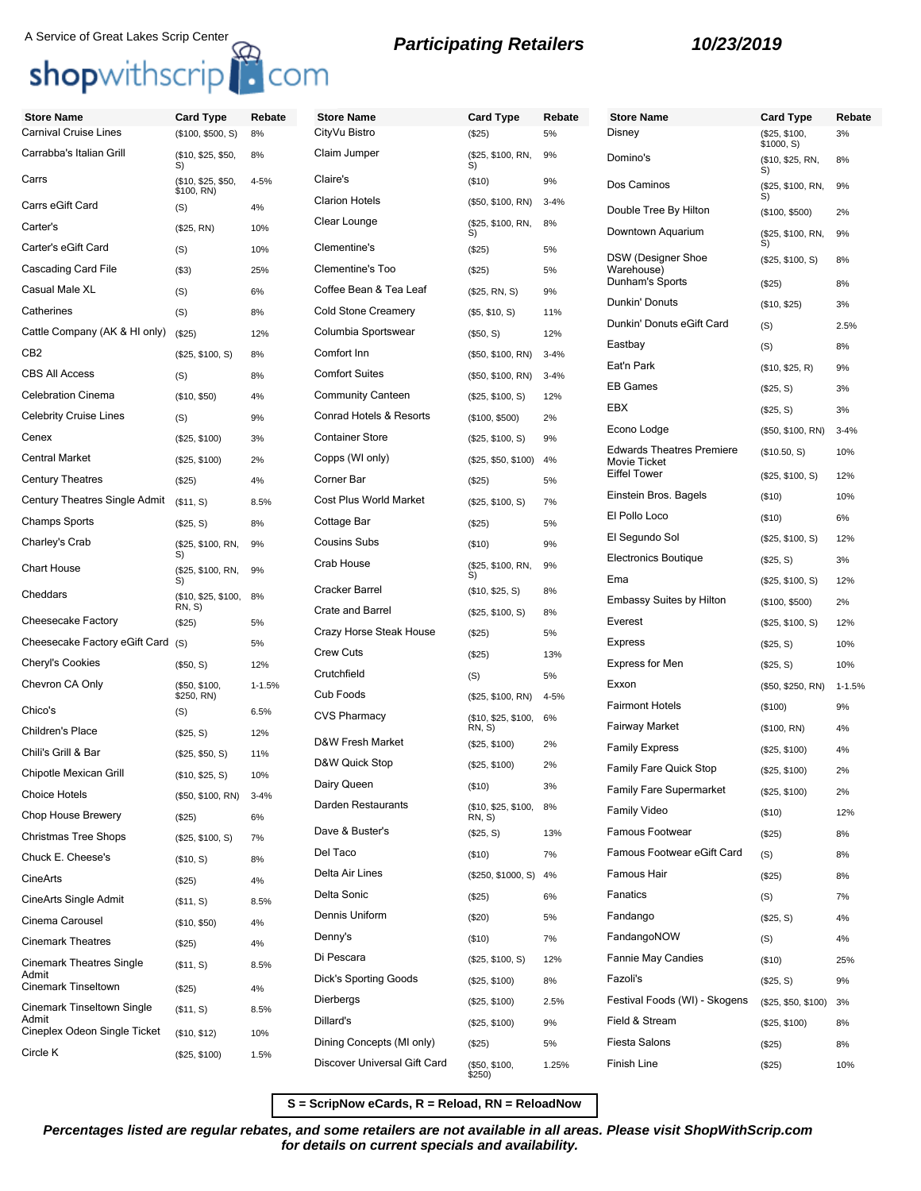# A Service of Great Lakes Scrip Center<br> **Shop**withscrip **C**OM **B Participating Retailers 10/23/2019**

| <b>Store Name</b>                        | <b>Card Type</b>                 | Rebate     | <b>Store Name</b>            | <b>Card Type</b>        | Rebate   | <b>Store Name</b>                                | <b>Card Type</b>            | Rebate     |
|------------------------------------------|----------------------------------|------------|------------------------------|-------------------------|----------|--------------------------------------------------|-----------------------------|------------|
| <b>Carnival Cruise Lines</b>             | (\$100, \$500, S)                | 8%         | CityVu Bistro                | (\$25)                  | 5%       | Disney                                           | (\$25, \$100,<br>\$1000, S) | 3%         |
| Carrabba's Italian Grill                 | (\$10, \$25, \$50,<br>S)         | 8%         | Claim Jumper                 | (\$25, \$100, RN,<br>S) | 9%       | Domino's                                         | (\$10, \$25, RN,<br>S)      | 8%         |
| Carrs                                    | (\$10, \$25, \$50,<br>\$100, RN) | 4-5%       | Claire's                     | (\$10)                  | 9%       | Dos Caminos                                      | (\$25, \$100, RN,           | 9%         |
| Carrs eGift Card                         | (S)                              | 4%         | <b>Clarion Hotels</b>        | (\$50, \$100, RN)       | $3 - 4%$ | Double Tree By Hilton                            | (\$100, \$500)              | 2%         |
| Carter's                                 | (\$25, RN)                       | 10%        | Clear Lounge                 | (\$25, \$100, RN,<br>S) | 8%       | Downtown Aquarium                                | (\$25, \$100, RN,           | 9%         |
| Carter's eGift Card                      | (S)                              | 10%        | Clementine's                 | (\$25)                  | 5%       |                                                  | S)                          |            |
| Cascading Card File                      | $($ \$3)                         | 25%        | Clementine's Too             | (\$25)                  | 5%       | <b>DSW</b> (Designer Shoe<br>Warehouse)          | (\$25, \$100, S)            | 8%         |
| Casual Male XL                           | (S)                              | 6%         | Coffee Bean & Tea Leaf       | (\$25, RN, S)           | 9%       | Dunham's Sports                                  | (\$25)                      | 8%         |
| Catherines                               | (S)                              | 8%         | <b>Cold Stone Creamery</b>   | (\$5, \$10, S)          | 11%      | Dunkin' Donuts                                   | (\$10, \$25)                | 3%         |
| Cattle Company (AK & HI only)            | (\$25)                           | 12%        | Columbia Sportswear          | (\$50, S)               | 12%      | Dunkin' Donuts eGift Card                        | (S)                         | 2.5%       |
| CB <sub>2</sub>                          | (\$25, \$100, S)                 | 8%         | Comfort Inn                  | (\$50, \$100, RN)       | $3 - 4%$ | Eastbay                                          | (S)                         | 8%         |
| <b>CBS All Access</b>                    | (S)                              | 8%         | <b>Comfort Suites</b>        | (\$50, \$100, RN)       | $3 - 4%$ | Eat'n Park                                       | (\$10, \$25, R)             | 9%         |
| <b>Celebration Cinema</b>                | (\$10, \$50)                     | 4%         | <b>Community Canteen</b>     | (\$25, \$100, S)        | 12%      | <b>EB Games</b>                                  | (\$25, S)                   | 3%         |
| <b>Celebrity Cruise Lines</b>            | (S)                              | 9%         | Conrad Hotels & Resorts      | (\$100, \$500)          | 2%       | EBX                                              | (\$25, S)                   | 3%         |
| Cenex                                    | (\$25, \$100)                    | 3%         | <b>Container Store</b>       | (\$25, \$100, S)        | 9%       | Econo Lodge                                      | (\$50, \$100, RN)           | $3 - 4%$   |
| <b>Central Market</b>                    | (\$25, \$100)                    | 2%         | Copps (WI only)              | (\$25, \$50, \$100)     | 4%       | <b>Edwards Theatres Premiere</b><br>Movie Ticket | (\$10.50, S)                | 10%        |
| <b>Century Theatres</b>                  | (\$25)                           | 4%         | Corner Bar                   | (\$25)                  | 5%       | <b>Eiffel Tower</b>                              | (\$25, \$100, S)            | 12%        |
| Century Theatres Single Admit            | (\$11, S)                        | 8.5%       | Cost Plus World Market       | (\$25, \$100, S)        | 7%       | Einstein Bros. Bagels                            | (\$10)                      | 10%        |
| <b>Champs Sports</b>                     | (\$25, S)                        | 8%         | Cottage Bar                  | (\$25)                  | 5%       | El Pollo Loco                                    | (\$10)                      | 6%         |
| Charley's Crab                           | (\$25, \$100, RN,                | 9%         | <b>Cousins Subs</b>          | (\$10)                  | 9%       | El Segundo Sol                                   | (\$25, \$100, S)            | 12%        |
| <b>Chart House</b>                       | S)<br>(\$25, \$100, RN,          | 9%         | Crab House                   | (\$25, \$100, RN,<br>S) | 9%       | <b>Electronics Boutique</b>                      | (\$25, S)                   | 3%         |
| Cheddars                                 | S)<br>(\$10, \$25, \$100,        | 8%         | <b>Cracker Barrel</b>        | (\$10, \$25, S)         | 8%       | Ema                                              | (\$25, \$100, S)            | 12%        |
|                                          | RN, S)                           |            | <b>Crate and Barrel</b>      | (\$25, \$100, S)        | 8%       | Embassy Suites by Hilton                         | (\$100, \$500)              | 2%         |
| Cheesecake Factory                       | (\$25)                           | 5%         | Crazy Horse Steak House      | (\$25)                  | 5%       | Everest                                          | (\$25, \$100, S)            | 12%        |
| Cheesecake Factory eGift Card            | (S)                              | 5%         | <b>Crew Cuts</b>             | (\$25)                  | 13%      | Express                                          | (\$25, S)                   | 10%        |
| <b>Cheryl's Cookies</b>                  | (\$50, S)                        | 12%        | Crutchfield                  | (S)                     | 5%       | <b>Express for Men</b>                           | (\$25, S)                   | 10%        |
| Chevron CA Only                          | (\$50, \$100,<br>\$250, RN)      | $1 - 1.5%$ | Cub Foods                    | (\$25, \$100, RN)       | $4 - 5%$ | Exxon<br><b>Fairmont Hotels</b>                  | (\$50, \$250, RN)           | $1 - 1.5%$ |
| Chico's                                  | (S)                              | 6.5%       | <b>CVS Pharmacy</b>          | (\$10, \$25, \$100,     | 6%       |                                                  | (\$100)                     | 9%         |
| Children's Place                         | (\$25, S)                        | 12%        | D&W Fresh Market             | RN, S)<br>(\$25, \$100) | 2%       | <b>Fairway Market</b>                            | (\$100, RN)                 | 4%         |
| Chili's Grill & Bar                      | (\$25, \$50, S)                  | 11%        | D&W Quick Stop               | (\$25, \$100)           | 2%       | <b>Family Express</b>                            | (\$25, \$100)               | 4%         |
| Chipotle Mexican Grill                   | (\$10, \$25, S)                  | 10%        | Dairy Queen                  | (\$10)                  | 3%       | <b>Family Fare Quick Stop</b>                    | (\$25, \$100)               | 2%         |
| <b>Choice Hotels</b>                     | (\$50, \$100, RN)                | $3 - 4%$   | Darden Restaurants           | (\$10, \$25, \$100,     | 8%       | <b>Family Fare Supermarket</b>                   | (\$25, \$100)               | 2%         |
| Chop House Brewery                       | (\$25)                           | 6%         | Dave & Buster's              | RN, S)                  |          | Family Video                                     | (\$10)                      | 12%        |
| <b>Christmas Tree Shops</b>              | (\$25, \$100, S)                 | 7%         | Del Taco                     | (\$25, S)               | 13%      | Famous Footwear<br>Famous Footwear eGift Card    | (\$25)                      | 8%         |
| Chuck E. Cheese's                        | (\$10, S)                        | 8%         | Delta Air Lines              | (\$10)                  | 7%       |                                                  | (S)                         | 8%         |
| CineArts                                 | (\$25)                           | 4%         |                              | (\$250, \$1000, S)      | 4%       | Famous Hair                                      | (\$25)                      | 8%         |
| CineArts Single Admit                    | (\$11, S)                        | 8.5%       | Delta Sonic                  | (\$25)                  | 6%       | Fanatics                                         | (S)                         | 7%         |
| Cinema Carousel                          | (\$10, \$50)                     | 4%         | Dennis Uniform               | (\$20)                  | 5%       | Fandango                                         | (\$25, S)                   | 4%         |
| <b>Cinemark Theatres</b>                 | (\$25)                           | 4%         | Denny's                      | (\$10)                  | 7%       | FandangoNOW                                      | (S)                         | 4%         |
| <b>Cinemark Theatres Single</b><br>Admit | (\$11, S)                        | 8.5%       | Di Pescara                   | (\$25, \$100, S)        | 12%      | <b>Fannie May Candies</b>                        | (\$10)                      | 25%        |
| Cinemark Tinseltown                      | (\$25)                           | 4%         | <b>Dick's Sporting Goods</b> | (\$25, \$100)           | 8%       | Fazoli's                                         | (\$25, S)                   | 9%         |
| Cinemark Tinseltown Single               | (\$11, S)                        | 8.5%       | Dierbergs                    | (\$25, \$100)           | 2.5%     | Festival Foods (WI) - Skogens                    | (\$25, \$50, \$100)         | 3%         |
| Admit<br>Cineplex Odeon Single Ticket    | (\$10, \$12)                     | 10%        | Dillard's                    | (\$25, \$100)           | 9%       | Field & Stream                                   | (\$25, \$100)               | 8%         |
| Circle K                                 | (\$25, \$100)                    | 1.5%       | Dining Concepts (MI only)    | (\$25)                  | 5%       | <b>Fiesta Salons</b>                             | (\$25)                      | 8%         |
|                                          |                                  |            | Discover Universal Gift Card | (\$50, \$100,<br>\$250) | 1.25%    | Finish Line                                      | (\$25)                      | 10%        |

**S = ScripNow eCards, R = Reload, RN = ReloadNow**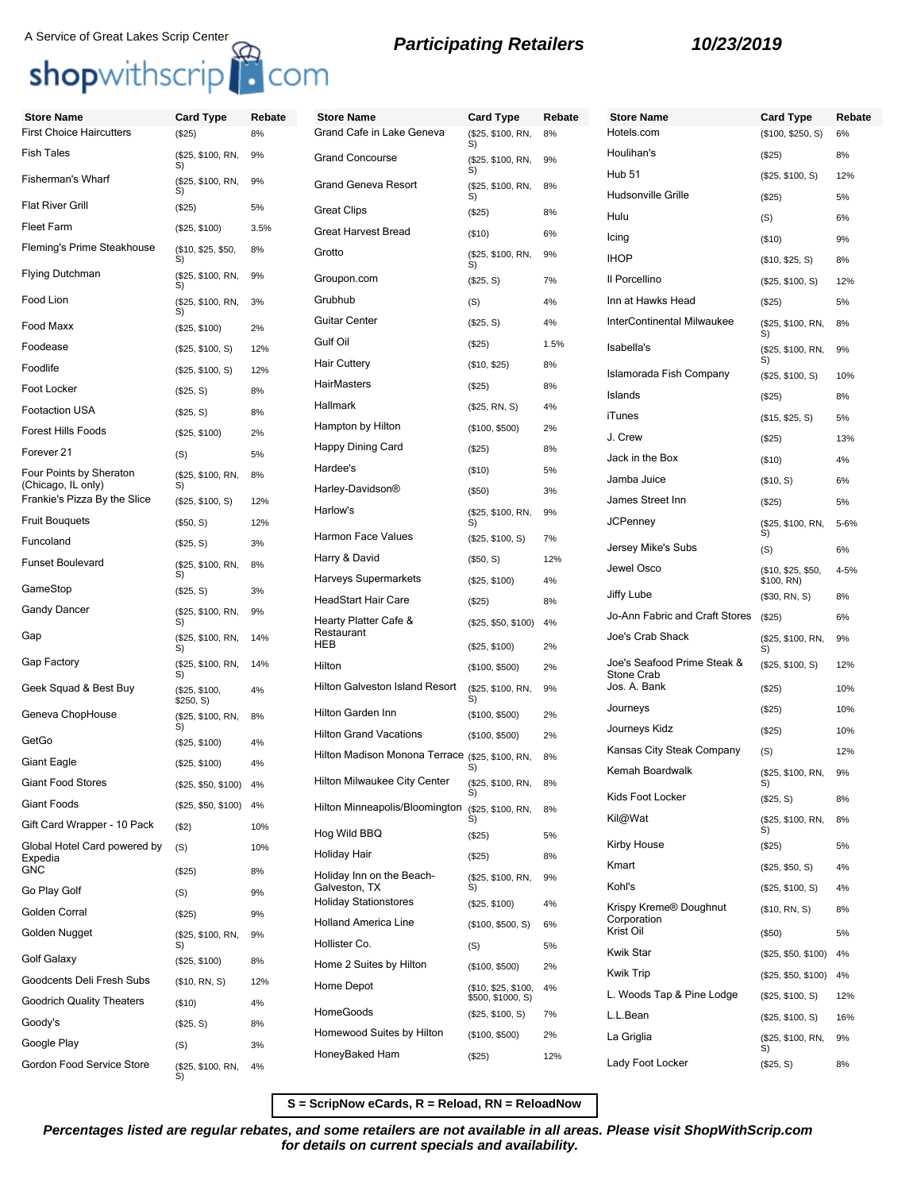# A Service of Great Lakes Scrip Center<br> **Shop**withscrip<sup>17</sup> COM<br> **Shop**withscrip<sup>17</sup> COM

| <b>Store Name</b>                                  | <b>Card Type</b>           | Rebate | <b>Store Name</b>                               | <b>Card Type</b>         | Rebate   | <b>Store Name</b>                         | <b>Card Type</b>                 | Rebate    |
|----------------------------------------------------|----------------------------|--------|-------------------------------------------------|--------------------------|----------|-------------------------------------------|----------------------------------|-----------|
| <b>First Choice Haircutters</b>                    | (\$25)                     | 8%     | Grand Cafe in Lake Geneva                       | (\$25, \$100, RN,<br>S)  | 8%       | Hotels.com                                | (\$100, \$250, S)                | 6%        |
| <b>Fish Tales</b>                                  | (\$25, \$100, RN,<br>S)    | 9%     | <b>Grand Concourse</b>                          | (\$25, \$100, RN,<br>S)  | 9%       | Houlihan's<br><b>Hub 51</b>               | (\$25)                           | 8%        |
| Fisherman's Wharf                                  | (\$25, \$100, RN,<br>S)    | 9%     | <b>Grand Geneva Resort</b>                      | (\$25, \$100, RN,<br>S)  | 8%       | Hudsonville Grille                        | (\$25, \$100, S)<br>(\$25)       | 12%<br>5% |
| Flat River Grill                                   | (\$25)                     | 5%     | <b>Great Clips</b>                              | (\$25)                   | 8%       | Hulu                                      | (S)                              | 6%        |
| <b>Fleet Farm</b>                                  | (\$25, \$100)              | 3.5%   | <b>Great Harvest Bread</b>                      | (\$10)                   | 6%       | Icing                                     | (\$10)                           | 9%        |
| Fleming's Prime Steakhouse                         | (\$10, \$25, \$50,<br>S)   | 8%     | Grotto                                          | (\$25, \$100, RN,<br>S)  | 9%       | <b>IHOP</b>                               | (\$10, \$25, S)                  | 8%        |
| Flying Dutchman                                    | (\$25, \$100, RN,<br>S)    | 9%     | Groupon.com                                     | (\$25, S)                | 7%       | Il Porcellino                             | (\$25, \$100, S)                 | 12%       |
| Food Lion                                          | (\$25, \$100, RN,<br>S)    | 3%     | Grubhub                                         | (S)                      | 4%       | Inn at Hawks Head                         | (\$25)                           | 5%        |
| Food Maxx                                          | (\$25, \$100)              | 2%     | <b>Guitar Center</b>                            | (\$25, S)                | 4%       | InterContinental Milwaukee                | (\$25, \$100, RN,<br>S)          | 8%        |
| Foodease                                           | (\$25, \$100, S)           | 12%    | Gulf Oil                                        | (\$25)                   | 1.5%     | Isabella's                                | (\$25, \$100, RN,                | 9%        |
| Foodlife                                           | (\$25, \$100, S)           | 12%    | <b>Hair Cuttery</b>                             | (\$10, \$25)             | 8%       | Islamorada Fish Company                   | S)<br>(\$25, \$100, S)           | 10%       |
| Foot Locker                                        | (\$25, S)                  | 8%     | HairMasters                                     | (\$25)                   | 8%       | Islands                                   | (\$25)                           | 8%        |
| Footaction USA                                     | (\$25, S)                  | 8%     | Hallmark                                        | (\$25, RN, S)            | 4%       | iTunes                                    | (\$15, \$25, S)                  | 5%        |
| Forest Hills Foods                                 | (\$25, \$100)              | 2%     | Hampton by Hilton                               | (\$100, \$500)           | 2%       | J. Crew                                   | (\$25)                           | 13%       |
| Forever 21                                         | (S)                        | 5%     | Happy Dining Card                               | (\$25)                   | 8%       | Jack in the Box                           | (\$10)                           | 4%        |
| Four Points by Sheraton                            | (\$25, \$100, RN,          | 8%     | Hardee's                                        | (\$10)                   | 5%       | Jamba Juice                               | (\$10, S)                        | 6%        |
| (Chicago, IL only)<br>Frankie's Pizza By the Slice | S)<br>(\$25, \$100, S)     | 12%    | Harley-Davidson®                                | (\$50)                   | 3%       | James Street Inn                          | (\$25)                           | 5%        |
| <b>Fruit Bouquets</b>                              | (\$50, S)                  | 12%    | Harlow's                                        | (\$25, \$100, RN,<br>S)  | 9%       | <b>JCPenney</b>                           | (\$25, \$100, RN,                | 5-6%      |
| Funcoland                                          | (\$25, S)                  | 3%     | Harmon Face Values                              | (\$25, \$100, S)         | 7%       |                                           | S)                               |           |
| Funset Boulevard                                   | (\$25, \$100, RN,          | 8%     | Harry & David                                   | (\$50, S)                | 12%      | Jersey Mike's Subs<br>Jewel Osco          | (S)                              | 6%        |
| GameStop                                           | S)                         |        | Harveys Supermarkets                            | (\$25, \$100)            | 4%       |                                           | (\$10, \$25, \$50,<br>\$100, RN) | 4-5%      |
|                                                    | (\$25, S)                  | 3%     | HeadStart Hair Care                             | (\$25)                   | 8%       | Jiffy Lube                                | (\$30, RN, S)                    | 8%        |
| Gandy Dancer                                       | (\$25, \$100, RN,<br>S)    | 9%     | Hearty Platter Cafe &                           | (\$25, \$50, \$100)      | 4%       | Jo-Ann Fabric and Craft Stores            | (\$25)                           | 6%        |
| Gap                                                | (\$25, \$100, RN,<br>S)    | 14%    | Restaurant<br>HEB                               | (\$25, \$100)            | 2%       | Joe's Crab Shack                          | (\$25, \$100, RN,<br>S)          | 9%        |
| Gap Factory                                        | (\$25, \$100, RN,<br>S)    | 14%    | Hilton                                          | (\$100, \$500)           | 2%       | Joe's Seafood Prime Steak &<br>Stone Crab | (\$25, \$100, S)                 | 12%       |
| Geek Squad & Best Buy                              | (\$25, \$100,<br>\$250, S) | 4%     | <b>Hilton Galveston Island Resort</b>           | (\$25, \$100, RN,<br>S)  | 9%       | Jos. A. Bank                              | (\$25)                           | 10%       |
| Geneva ChopHouse                                   | (\$25, \$100, RN,          | 8%     | Hilton Garden Inn                               | (\$100, \$500)           | 2%       | Journeys                                  | (\$25)                           | 10%       |
| GetGo                                              | S)<br>(\$25, \$100)        | 4%     | <b>Hilton Grand Vacations</b>                   | (\$100, \$500)           | 2%       | Journeys Kidz                             | (\$25)                           | 10%       |
| Giant Eagle                                        | (\$25, \$100)              | 4%     | Hilton Madison Monona Terrace (\$25, \$100, RN, | S)                       | 8%       | Kansas City Steak Company                 | (S)                              | 12%       |
| <b>Giant Food Stores</b>                           | (\$25, \$50, \$100) 4%     |        | <b>Hilton Milwaukee City Center</b>             | (\$25, \$100, RN,        | 8%       | Kemah Boardwalk                           | (\$25, \$100, RN,<br>S)          | 9%        |
| Giant Foods                                        | (\$25, \$50, \$100)        | 4%     | Hilton Minneapolis/Bloomington                  | S)<br>(\$25, \$100, RN,  | 8%       | Kids Foot Locker                          | (\$25, S)                        | 8%        |
| Gift Card Wrapper - 10 Pack                        | (\$2)                      | 10%    | Hog Wild BBQ                                    | S)                       |          | Kil@Wat                                   | (\$25, \$100, RN,<br>S)          | 8%        |
| Global Hotel Card powered by                       | (S)                        | 10%    | Holiday Hair                                    | (\$25)<br>(\$25)         | 5%<br>8% | Kirby House                               | (\$25)                           | 5%        |
| Expedia<br><b>GNC</b>                              | (\$25)                     | 8%     | Holiday Inn on the Beach-                       | (\$25, \$100, RN,        | 9%       | Kmart                                     | (\$25, \$50, S)                  | 4%        |
| Go Play Golf                                       | (S)                        | 9%     | Galveston, TX<br><b>Holiday Stationstores</b>   | S)                       |          | Kohl's                                    | (\$25, \$100, S)                 | 4%        |
| Golden Corral                                      | (\$25)                     | 9%     | <b>Holland America Line</b>                     | (\$25, \$100)            | 4%       | Krispy Kreme® Doughnut<br>Corporation     | (\$10, RN, S)                    | 8%        |
| Golden Nugget                                      | (\$25, \$100, RN,<br>S)    | 9%     | Hollister Co.                                   | (\$100, \$500, S)<br>(S) | 6%<br>5% | Krist Oil                                 | (\$50)                           | 5%        |
| Golf Galaxy                                        | (\$25, \$100)              | 8%     | Home 2 Suites by Hilton                         | (\$100, \$500)           | 2%       | Kwik Star                                 | (\$25, \$50, \$100)              | 4%        |
| Goodcents Deli Fresh Subs                          | (\$10, RN, S)              | 12%    | Home Depot                                      | (\$10, \$25, \$100,      | 4%       | <b>Kwik Trip</b>                          | (\$25, \$50, \$100)              | 4%        |
| <b>Goodrich Quality Theaters</b>                   | (\$10)                     | 4%     |                                                 | \$500, \$1000, S)        |          | L. Woods Tap & Pine Lodge                 | (\$25, \$100, S)                 | 12%       |
| Goody's                                            | (\$25, S)                  | 8%     | HomeGoods                                       | (\$25, \$100, S)         | 7%       | L.L.Bean                                  | (\$25, \$100, S)                 | 16%       |
| Google Play                                        | (S)                        | 3%     | Homewood Suites by Hilton                       | (\$100, \$500)           | 2%       | La Griglia                                | (\$25, \$100, RN,<br>S)          | 9%        |
| Gordon Food Service Store                          | (\$25, \$100, RN,<br>S)    | 4%     | HoneyBaked Ham                                  | (\$25)                   | 12%      | Lady Foot Locker                          | (\$25, S)                        | 8%        |

**S = ScripNow eCards, R = Reload, RN = ReloadNow**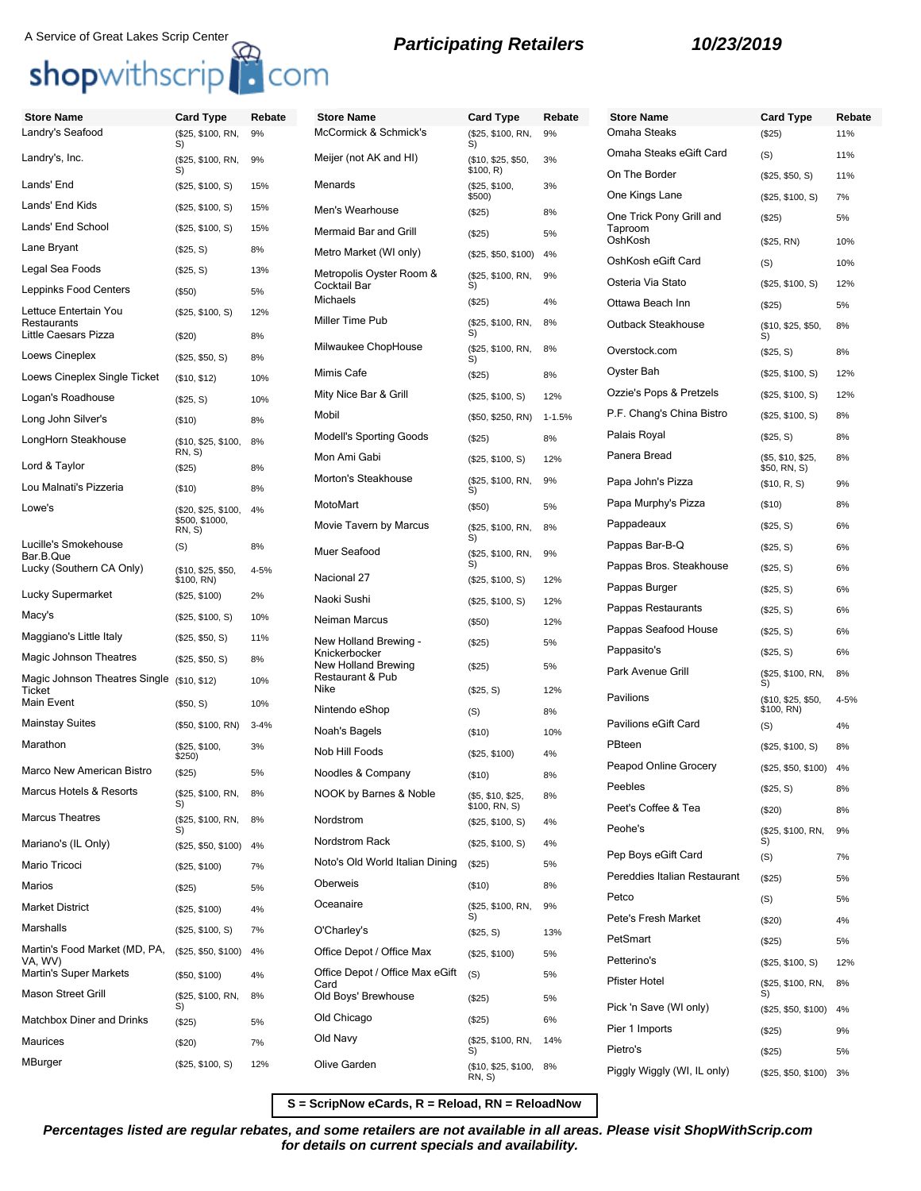## shopwithscrip<sup>1</sup> com

## A Service of Great Lakes Scrip Center<br>**Participating Retailers 10/23/2019**

**Store Name Card Type Rebate**

4-5%

| <b>Store Name</b>                          | <b>Card Type</b>            | Rebate   | <b>Store Name</b>                       | <b>Card Type</b>                   | Rebate     | <b>Store Name</b>                                   | <b>Card Type</b>                  | Reb      |
|--------------------------------------------|-----------------------------|----------|-----------------------------------------|------------------------------------|------------|-----------------------------------------------------|-----------------------------------|----------|
| Landry's Seafood                           | (\$25, \$100, RN,<br>S)     | 9%       | McCormick & Schmick's                   | (\$25, \$100, RN,<br>S)            | 9%         | Omaha Steaks                                        | (\$25)                            | 11%      |
| Landry's, Inc.                             | (\$25, \$100, RN,<br>S)     | 9%       | Meijer (not AK and HI)                  | (\$10, \$25, \$50,<br>\$100, R)    | 3%         | Omaha Steaks eGift Card                             | (S)                               | 11%      |
| Lands' End                                 | (\$25, \$100, S)            | 15%      | Menards                                 | (\$25, \$100,                      | 3%         | On The Border<br>One Kings Lane                     | (\$25, \$50, S)                   | 11%      |
| Lands' End Kids                            | (\$25, \$100, S)            | 15%      | Men's Wearhouse                         | \$500)<br>(\$25)                   | 8%         | One Trick Pony Grill and                            | (\$25, \$100, S)                  | 7%       |
| Lands' End School                          | (\$25, \$100, S)            | 15%      | Mermaid Bar and Grill                   | (\$25)                             | 5%         | Taproom                                             | (\$25)                            | 5%       |
| Lane Bryant                                | (\$25, S)                   | 8%       | Metro Market (WI only)                  | (\$25, \$50, \$100)                | 4%         | OshKosh                                             | (\$25, RN)                        | 10%      |
| Legal Sea Foods                            | (\$25, S)                   | 13%      | Metropolis Oyster Room &                | (\$25, \$100, RN,                  | 9%         | OshKosh eGift Card                                  | (S)                               | 10%      |
| Leppinks Food Centers                      | (\$50)                      | 5%       | Cocktail Bar<br>Michaels                | S)<br>(\$25)                       | 4%         | Osteria Via Stato                                   | (\$25, \$100, S)                  | 12%      |
| Lettuce Entertain You<br>Restaurants       | (\$25, \$100, S)            | 12%      | Miller Time Pub                         | (\$25, \$100, RN,                  | 8%         | Ottawa Beach Inn                                    | (\$25)                            | 5%       |
| Little Caesars Pizza                       | (\$20)                      | 8%       |                                         | S)                                 |            | Outback Steakhouse                                  | (\$10, \$25, \$50,<br>S)          | 8%       |
| Loews Cineplex                             | (\$25, \$50, S)             | 8%       | Milwaukee ChopHouse                     | (\$25, \$100, RN,<br>S)            | 8%         | Overstock.com                                       | (\$25, S)                         | 8%       |
| Loews Cineplex Single Ticket               | (\$10, \$12)                | 10%      | Mimis Cafe                              | (\$25)                             | 8%         | Oyster Bah                                          | (\$25, \$100, S)                  | 12%      |
| Logan's Roadhouse                          | (\$25, S)                   | 10%      | Mity Nice Bar & Grill                   | (\$25, \$100, S)                   | 12%        | Ozzie's Pops & Pretzels                             | (\$25, \$100, S)                  | 12%      |
| Long John Silver's                         | (\$10)                      | 8%       | Mobil                                   | (\$50, \$250, RN)                  | $1 - 1.5%$ | P.F. Chang's China Bistro                           | (\$25, \$100, S)                  | 8%       |
| LongHorn Steakhouse                        | (\$10, \$25, \$100,         | 8%       | <b>Modell's Sporting Goods</b>          | (\$25)                             | 8%         | Palais Royal                                        | (\$25, S)                         | 8%       |
| Lord & Taylor                              | RN, S)<br>(\$25)            | 8%       | Mon Ami Gabi                            | (\$25, \$100, S)                   | 12%        | Panera Bread                                        | (\$5, \$10, \$25,<br>\$50, RN, S) | 8%       |
| Lou Malnati's Pizzeria                     | (\$10)                      | 8%       | Morton's Steakhouse                     | (\$25, \$100, RN,<br>S)            | 9%         | Papa John's Pizza                                   | (\$10, R, S)                      | 9%       |
| Lowe's                                     | (\$20, \$25, \$100,         | 4%       | MotoMart                                | (\$50)                             | 5%         | Papa Murphy's Pizza                                 | (\$10)                            | 8%       |
|                                            | \$500, \$1000,<br>RN, S)    |          | Movie Tavern by Marcus                  | (\$25, \$100, RN,                  | 8%         | Pappadeaux                                          | (\$25, S)                         | 6%       |
| Lucille's Smokehouse<br>Bar.B.Que          | (S)                         | 8%       | Muer Seafood                            | S)<br>(\$25, \$100, RN,            | 9%         | Pappas Bar-B-Q                                      | (\$25, S)                         | 6%       |
| Lucky (Southern CA Only)                   | (\$10, \$25, \$50,          | 4-5%     | Nacional 27                             | S)                                 |            | Pappas Bros. Steakhouse                             | (\$25, S)                         | 6%       |
| Lucky Supermarket                          | \$100, RN)<br>(\$25, \$100) | 2%       | Naoki Sushi                             | (\$25, \$100, S)                   | 12%        | Pappas Burger                                       | (\$25, S)                         | 6%       |
| Macy's                                     | (\$25, \$100, S)            | 10%      | Neiman Marcus                           | (\$25, \$100, S)                   | 12%        | Pappas Restaurants                                  | (\$25, S)                         | 6%       |
| Maggiano's Little Italy                    | (\$25, \$50, S)             | 11%      | New Holland Brewing -                   | (\$50)                             | 12%        | Pappas Seafood House                                | (\$25, S)                         | 6%       |
| Magic Johnson Theatres                     | (\$25, \$50, S)             | 8%       | Knickerbocker                           | (\$25)                             | 5%         | Pappasito's                                         | (\$25, S)                         | 6%       |
| Magic Johnson Theatres Single (\$10, \$12) |                             | 10%      | New Holland Brewing<br>Restaurant & Pub | (\$25)                             | 5%         | Park Avenue Grill                                   | (\$25, \$100, RN,<br>S)           | 8%       |
| Ticket<br>Main Event                       | (\$50, S)                   | 10%      | Nike                                    | (\$25, S)                          | 12%        | Pavilions                                           | (\$10, \$25, \$50,                | $4 - 5%$ |
| <b>Mainstay Suites</b>                     | (\$50, \$100, RN)           | $3 - 4%$ | Nintendo eShop                          | (S)                                | 8%         | Pavilions eGift Card                                | \$100, RN)<br>(S)                 | 4%       |
| Marathon                                   | (\$25, \$100,               | 3%       | Noah's Bagels                           | (\$10)                             | 10%        | PBteen                                              | (\$25, \$100, S)                  | 8%       |
|                                            | \$250)                      |          | Nob Hill Foods                          | (\$25, \$100)                      | 4%         | Peapod Online Grocery                               | $($25, $50, $100)$ 4%             |          |
| Marco New American Bistro                  | (\$25)                      | 5%       | Noodles & Company                       | (\$10)                             | 8%         | Peebles                                             | (\$25, S)                         | 8%       |
| Marcus Hotels & Resorts                    | (\$25, \$100, RN,<br>S)     | 8%       | NOOK by Barnes & Noble                  | (\$5, \$10, \$25,<br>\$100, RN, S) | 8%         | Peet's Coffee & Tea                                 | (\$20)                            | 8%       |
| <b>Marcus Theatres</b>                     | (\$25, \$100, RN,<br>S)     | 8%       | Nordstrom                               | (\$25, \$100, S)                   | 4%         | Peohe's                                             | (\$25, \$100, RN,                 | 9%       |
| Mariano's (IL Only)                        | (\$25, \$50, \$100)         | 4%       | Nordstrom Rack                          | (\$25, \$100, S)                   | 4%         |                                                     | S)                                |          |
| Mario Tricoci                              | (\$25, \$100)               | 7%       | Noto's Old World Italian Dining         | (\$25)                             | 5%         | Pep Boys eGift Card<br>Pereddies Italian Restaurant | (S)                               | 7%       |
| Marios                                     | (\$25)                      | 5%       | Oberweis                                | (\$10)                             | 8%         |                                                     | (\$25)                            | 5%       |
| <b>Market District</b>                     | (\$25, \$100)               | 4%       | Oceanaire                               | (\$25, \$100, RN,<br>S)            | 9%         | Petco<br>Pete's Fresh Market                        | (S)                               | 5%       |
| Marshalls                                  | (\$25, \$100, S)            | 7%       | O'Charley's                             | (\$25, S)                          | 13%        |                                                     | $(\$20)$                          | 4%       |
| Martin's Food Market (MD, PA,<br>VA, WV)   | (\$25, \$50, \$100)         | 4%       | Office Depot / Office Max               | (\$25, \$100)                      | 5%         | PetSmart<br>Petterino's                             | (\$25)                            | 5%       |
| <b>Martin's Super Markets</b>              | (\$50, \$100)               | 4%       | Office Depot / Office Max eGift         | (S)                                | 5%         | <b>Pfister Hotel</b>                                | (\$25, \$100, S)                  | 12%      |
| Mason Street Grill                         | (\$25, \$100, RN,           | 8%       | Card<br>Old Boys' Brewhouse             | (\$25)                             | 5%         |                                                     | (\$25, \$100, RN,                 | 8%       |
| Matchbox Diner and Drinks                  | S)<br>(\$25)                | 5%       | Old Chicago                             | (\$25)                             | 6%         | Pick 'n Save (WI only)                              | (\$25, \$50, \$100) 4%            |          |
| Maurices                                   | (\$20)                      | 7%       | Old Navy                                | (\$25, \$100, RN,                  | 14%        | Pier 1 Imports                                      | (\$25)                            | 9%       |
| MBurger                                    | (\$25, \$100, S)            | 12%      | Olive Garden                            | S)<br>$($10, $25, $100, 8\%$       |            | Pietro's                                            | (\$25)                            | 5%       |
|                                            |                             |          |                                         | <b>RN, S)</b>                      |            | Piggly Wiggly (WI, IL only)                         | (\$25, \$50, \$100) 3%            |          |

**S = ScripNow eCards, R = Reload, RN = ReloadNow**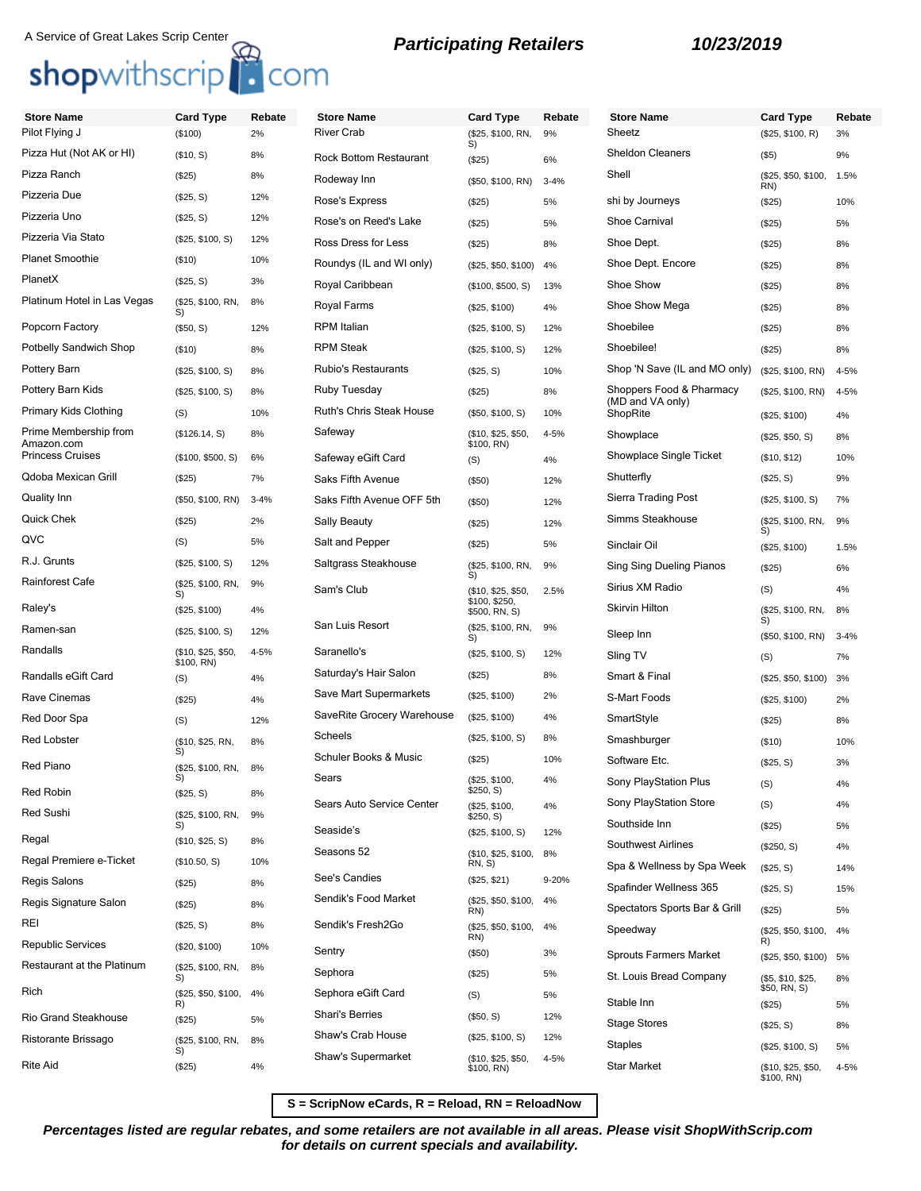# A Service of Great Lakes Scrip Center<br> **Shop**withscrip **C**OM **B Participating Retailers 10/23/2019**

| <b>Store Name</b>                   | <b>Card Type</b>                 | Rebate   | <b>Store Name</b>             | <b>Card Type</b>                    | Rebate   | <b>Store Name</b>             | <b>Card Type</b>                 | Rebate   |
|-------------------------------------|----------------------------------|----------|-------------------------------|-------------------------------------|----------|-------------------------------|----------------------------------|----------|
| Pilot Flying J                      | (\$100)                          | 2%       | <b>River Crab</b>             | (\$25, \$100, RN,<br>S)             | 9%       | Sheetz                        | (\$25, \$100, R)                 | 3%       |
| Pizza Hut (Not AK or HI)            | (\$10, S)                        | 8%       | <b>Rock Bottom Restaurant</b> | (\$25)                              | 6%       | <b>Sheldon Cleaners</b>       | (\$5)                            | 9%       |
| Pizza Ranch                         | (\$25)                           | 8%       | Rodeway Inn                   | (\$50, \$100, RN)                   | $3 - 4%$ | Shell                         | (\$25, \$50, \$100,<br>RN)       | 1.5%     |
| Pizzeria Due                        | (\$25, S)                        | 12%      | Rose's Express                | (\$25)                              | 5%       | shi by Journeys               | (\$25)                           | 10%      |
| Pizzeria Uno                        | (\$25, S)                        | 12%      | Rose's on Reed's Lake         | (\$25)                              | 5%       | Shoe Carnival                 | (\$25)                           | 5%       |
| Pizzeria Via Stato                  | (\$25, \$100, S)                 | 12%      | Ross Dress for Less           | (\$25)                              | 8%       | Shoe Dept.                    | (\$25)                           | 8%       |
| <b>Planet Smoothie</b>              | (\$10)                           | 10%      | Roundys (IL and WI only)      | (\$25, \$50, \$100)                 | 4%       | Shoe Dept. Encore             | (\$25)                           | 8%       |
| PlanetX                             | (\$25, S)                        | 3%       | Royal Caribbean               | (\$100, \$500, S)                   | 13%      | Shoe Show                     | (\$25)                           | 8%       |
| Platinum Hotel in Las Vegas         | (\$25, \$100, RN,<br>S)          | 8%       | <b>Royal Farms</b>            | (\$25, \$100)                       | 4%       | Shoe Show Mega                | (\$25)                           | 8%       |
| Popcorn Factory                     | (\$50, S)                        | 12%      | <b>RPM</b> Italian            | (\$25, \$100, S)                    | 12%      | Shoebilee                     | (\$25)                           | 8%       |
| <b>Potbelly Sandwich Shop</b>       | (\$10)                           | 8%       | <b>RPM Steak</b>              | (\$25, \$100, S)                    | 12%      | Shoebilee!                    | (\$25)                           | 8%       |
| Pottery Barn                        | (\$25, \$100, S)                 | 8%       | <b>Rubio's Restaurants</b>    | (\$25, S)                           | 10%      | Shop 'N Save (IL and MO only) | (\$25, \$100, RN)                | $4 - 5%$ |
| Pottery Barn Kids                   | (\$25, \$100, S)                 | 8%       | Ruby Tuesday                  | (\$25)                              | 8%       | Shoppers Food & Pharmacy      | (\$25, \$100, RN)                | 4-5%     |
| Primary Kids Clothing               | (S)                              | 10%      | Ruth's Chris Steak House      | (\$50, \$100, S)                    | 10%      | (MD and VA only)<br>ShopRite  | (\$25, \$100)                    | 4%       |
| Prime Membership from<br>Amazon.com | (\$126.14, S)                    | 8%       | Safeway                       | (\$10, \$25, \$50,<br>\$100, RN)    | $4 - 5%$ | Showplace                     | (\$25, \$50, S)                  | 8%       |
| <b>Princess Cruises</b>             | (\$100, \$500, S)                | 6%       | Safeway eGift Card            | (S)                                 | 4%       | Showplace Single Ticket       | (\$10, \$12)                     | 10%      |
| <b>Qdoba Mexican Grill</b>          | (\$25)                           | 7%       | Saks Fifth Avenue             | (\$50)                              | 12%      | Shutterfly                    | (\$25, S)                        | 9%       |
| <b>Quality Inn</b>                  | (\$50, \$100, RN)                | $3 - 4%$ | Saks Fifth Avenue OFF 5th     | (\$50)                              | 12%      | Sierra Trading Post           | (\$25, \$100, S)                 | 7%       |
| <b>Quick Chek</b>                   | (\$25)                           | 2%       | <b>Sally Beauty</b>           | (\$25)                              | 12%      | Simms Steakhouse              | (\$25, \$100, RN,<br>S)          | 9%       |
| QVC                                 | (S)                              | 5%       | Salt and Pepper               | (\$25)                              | 5%       | Sinclair Oil                  | (\$25, \$100)                    | 1.5%     |
| R.J. Grunts                         | (\$25, \$100, S)                 | 12%      | Saltgrass Steakhouse          | (\$25, \$100, RN,<br>S)             | 9%       | Sing Sing Dueling Pianos      | (\$25)                           | 6%       |
| Rainforest Cafe                     | (\$25, \$100, RN,<br>S)          | 9%       | Sam's Club                    | (\$10, \$25, \$50,                  | 2.5%     | Sirius XM Radio               | (S)                              | 4%       |
| Raley's                             | (\$25, \$100)                    | 4%       |                               | \$100, \$250,<br>\$500, RN, S)      |          | <b>Skirvin Hilton</b>         | (\$25, \$100, RN,                | 8%       |
| Ramen-san                           | (\$25, \$100, S)                 | 12%      | San Luis Resort               | (\$25, \$100, RN,<br>S)             | 9%       | Sleep Inn                     | S)<br>(\$50, \$100, RN)          | $3 - 4%$ |
| Randalls                            | (\$10, \$25, \$50,<br>\$100, RN) | 4-5%     | Saranello's                   | (\$25, \$100, S)                    | 12%      | Sling TV                      | (S)                              | 7%       |
| Randalls eGift Card                 | (S)                              | 4%       | Saturday's Hair Salon         | (\$25)                              | 8%       | Smart & Final                 | (\$25, \$50, \$100)              | 3%       |
| Rave Cinemas                        | (\$25)                           | 4%       | Save Mart Supermarkets        | (\$25, \$100)                       | 2%       | S-Mart Foods                  | (\$25, \$100)                    | 2%       |
| Red Door Spa                        | (S)                              | 12%      | SaveRite Grocery Warehouse    | (\$25, \$100)                       | 4%       | SmartStyle                    | (\$25)                           | 8%       |
| <b>Red Lobster</b>                  | (\$10, \$25, RN,                 | 8%       | Scheels                       | (\$25, \$100, S)                    | 8%       | Smashburger                   | (\$10)                           | 10%      |
| Red Piano                           | S)<br>(\$25, \$100, RN,          | 8%       | Schuler Books & Music         | (\$25)                              | 10%      | Software Etc.                 | (\$25, S)                        | 3%       |
| Red Robin                           | S)                               |          | Sears                         | (\$25, \$100,<br>\$250, S)          | 4%       | Sony PlayStation Plus         | (S)                              | 4%       |
| Red Sushi                           | (\$25, S)<br>(\$25, \$100, RN,   | 8%<br>9% | Sears Auto Service Center     | (\$25, \$100,                       | 4%       | Sony PlayStation Store        | (S)                              | 4%       |
|                                     | S)                               |          | Seaside's                     | \$250, S)<br>(\$25, \$100, S)       | 12%      | Southside Inn                 | (\$25)                           | 5%       |
| Regal                               | (\$10, \$25, S)                  | 8%       | Seasons 52                    | (\$10, \$25, \$100,                 | 8%       | Southwest Airlines            | (\$250, S)                       | 4%       |
| Regal Premiere e-Ticket             | (\$10.50, S)                     | 10%      | See's Candies                 | RN, S)                              |          | Spa & Wellness by Spa Week    | (\$25, S)                        | 14%      |
| Regis Salons                        | (\$25)                           | 8%       | Sendik's Food Market          | (\$25, \$21)<br>(\$25, \$50, \$100, | 9-20%    | Spafinder Wellness 365        | (\$25, S)                        | 15%      |
| Regis Signature Salon               | (\$25)                           | 8%       |                               | RN)                                 | 4%       | Spectators Sports Bar & Grill | (\$25)                           | 5%       |
| <b>REI</b>                          | (\$25, S)                        | 8%       | Sendik's Fresh2Go             | (\$25, \$50, \$100,<br>RN)          | 4%       | Speedway                      | (\$25, \$50, \$100,<br>R)        | 4%       |
| <b>Republic Services</b>            | (\$20, \$100)                    | 10%      | Sentry                        | (\$50)                              | 3%       | <b>Sprouts Farmers Market</b> | (\$25, \$50, \$100)              | 5%       |
| <b>Restaurant at the Platinum</b>   | (\$25, \$100, RN,<br>S)          | 8%       | Sephora                       | (\$25)                              | 5%       | St. Louis Bread Company       | (\$5, \$10, \$25,                | 8%       |
| Rich                                | (\$25, \$50, \$100,<br>R)        | 4%       | Sephora eGift Card            | (S)                                 | 5%       | Stable Inn                    | \$50, RN, S)<br>(\$25)           | 5%       |
| <b>Rio Grand Steakhouse</b>         | (\$25)                           | 5%       | Shari's Berries               | (\$50, S)                           | 12%      | <b>Stage Stores</b>           | (\$25, S)                        | 8%       |
| Ristorante Brissago                 | (\$25, \$100, RN,                | 8%       | Shaw's Crab House             | (\$25, \$100, S)                    | 12%      | Staples                       | (\$25, \$100, S)                 | 5%       |
| <b>Rite Aid</b>                     | S)<br>(\$25)                     | 4%       | Shaw's Supermarket            | (\$10, \$25, \$50,<br>\$100, RN)    | $4 - 5%$ | <b>Star Market</b>            | (\$10, \$25, \$50,<br>\$100, RN) | 4-5%     |

**S = ScripNow eCards, R = Reload, RN = ReloadNow**